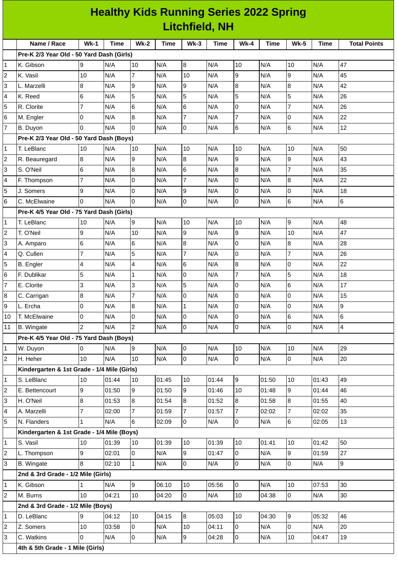|                | <b>Healthy Kids Running Series 2022 Spring</b><br><b>Litchfield, NH</b> |                |             |                     |       |                 |             |                |       |                  |             |                          |
|----------------|-------------------------------------------------------------------------|----------------|-------------|---------------------|-------|-----------------|-------------|----------------|-------|------------------|-------------|--------------------------|
|                |                                                                         |                |             |                     |       |                 |             |                |       |                  |             |                          |
|                | Name / Race                                                             | $Wk-1$         | <b>Time</b> | $Wk-2$              | Time  | $Wk-3$          | <b>Time</b> | $Wk-4$         | Time  | <b>Wk-5</b>      | <b>Time</b> | <b>Total Points</b>      |
|                | Pre-K 2/3 Year Old - 50 Yard Dash (Girls)                               |                |             |                     |       |                 |             |                |       |                  |             |                          |
| 1              | K. Gibson                                                               | 9              | N/A         | 10                  | N/A   | 8               | N/A         | 10             | N/A   | 10               | N/A         | 47                       |
| 2              | K. Vasil                                                                | 10             | N/A         | $\overline{7}$      | N/A   | 10              | N/A         | 9              | N/A   | 9                | N/A         | 45                       |
| 3              | L. Marzelli                                                             | 8              | N/A         | 9                   | N/A   | 9               | N/A         | 8              | N/A   | 8                | N/A         | 42                       |
| 4              | K. Reed                                                                 | 6              | N/A         | 5                   | N/A   | 5               | N/A         | 5              | N/A   | 5                | N/A         | 26                       |
| 5              | R. Clorite                                                              | 7              | N/A         | 6                   | N/A   | $6\phantom{.}6$ | N/A         | 0              | N/A   | $\overline{7}$   | N/A         | 26                       |
| 6              | M. Engler                                                               | 0              | N/A         | $\, 8$              | N/A   | 7               | N/A         | $\overline{7}$ | N/A   | 0                | N/A         | 22                       |
| 7              | B. Duyon                                                                | l0             | N/A         | $\Omega$            | N/A   | $\pmb{0}$       | N/A         | 6              | N/A   | $\,6$            | N/A         | 12                       |
|                | Pre-K 2/3 Year Old - 50 Yard Dash (Boys)                                |                |             |                     |       |                 |             |                |       |                  |             |                          |
| 1              | T. LeBlanc                                                              | 10             | N/A         | 10                  | N/A   | 10              | N/A         | 10             | N/A   | 10               | N/A         | 50                       |
| 2              | R. Beauregard                                                           | $\overline{8}$ | N/A         | 9                   | N/A   | 8               | N/A         | 9              | N/A   | $\mathsf g$      | N/A         | 43                       |
| 3              | S. O'Neil                                                               | 6              | N/A         | 8                   | N/A   | $6\phantom{.}$  | N/A         | 8              | N/A   | $\overline{7}$   | N/A         | 35                       |
| 4              | F. Thompson                                                             | $\overline{7}$ | N/A         | 0                   | N/A   | 7               | N/A         | $\mathbf 0$    | N/A   | $\boldsymbol{8}$ | N/A         | 22                       |
| 5              | J. Somers                                                               | 9              | N/A         | 0                   | N/A   | 9               | N/A         | $\overline{0}$ | N/A   | O                | N/A         | 18                       |
| 6              | C. McElwaine                                                            | O              | N/A         | 0                   | N/A   | O               | N/A         | 0              | N/A   | $6\phantom{.}6$  | N/A         | 6                        |
|                | Pre-K 4/5 Year Old - 75 Yard Dash (Girls)                               |                |             |                     |       |                 |             |                |       |                  |             |                          |
| 1              | T. LeBlanc                                                              | 10             | N/A         | 9                   | N/A   | 10              | N/A         | 10             | N/A   | 9                | N/A         | 48                       |
| 2              | T. O'Neil                                                               | 9              | N/A         | 10                  | N/A   | 9               | N/A         | 9              | N/A   | 10               | N/A         | 47                       |
| 3              | A. Amparo                                                               | 6              | N/A         | 6                   | N/A   | 8               | N/A         | 0              | N/A   | $\bf{8}$         | N/A         | 28                       |
| 4              | Q. Cullen                                                               | $\overline{7}$ | N/A         | 5                   | N/A   | $\overline{7}$  | N/A         | 0              | N/A   | 7                | N/A         | 26                       |
| 5              | B. Engler                                                               | 4              | N/A         | 4                   | N/A   | $6\phantom{.}$  | N/A         | $\bf{8}$       | N/A   | $\mathsf 0$      | N/A         | 22                       |
| 6              | F. Dublikar                                                             | 5              | N/A         | $\mathbf{1}$        | N/A   | $\overline{0}$  | N/A         | $\overline{7}$ | N/A   | 5                | N/A         | 18                       |
| 7              | E. Clorite                                                              | 3              | N/A         | 3                   | N/A   | 5               | N/A         | 0              | N/A   | $\,6$            | N/A         | 17                       |
| 8              | C. Carrigan                                                             | 8              | N/A         | $\overline{7}$      | N/A   | $\overline{0}$  | N/A         | l0             | N/A   | I٥               | N/A         | 15                       |
| 9              | L. Ercha                                                                | l0             | N/A         | 8                   | N/A   | $\mathbf{1}$    | N/A         | $\mathbf 0$    | N/A   | l0               | N/A         | 9                        |
| 10             | T. McElwaine                                                            | 0              | N/A         | $\overline{0}$      | N/A   | $\overline{0}$  | N/A         | 0              | N/A   | $\,6$            | N/A         | 6                        |
| 11             | <b>B.</b> Wingate                                                       | $\overline{c}$ | N/A         | $\overline{2}$      | N/A   | $\overline{0}$  | N/A         | $\overline{0}$ | N/A   | O                | N/A         | $\overline{\mathcal{A}}$ |
|                | Pre-K 4/5 Year Old - 75 Yard Dash (Boys)                                |                |             |                     |       |                 |             |                |       |                  |             |                          |
| 1              | W. Duyon                                                                | 10             | N/A         | 9                   | N/A   | 0               | N/A         | 10             | N/A   | 10               | N/A         | 29                       |
| 2              | H. Heher                                                                | 10             | N/A         | 10                  | N/A   | lo.             | N/A         | l0             | N/A   | l0               | N/A         | 20                       |
|                | Kindergarten & 1st Grade - 1/4 Mile (Girls)                             |                |             |                     |       |                 |             |                |       |                  |             |                          |
| 1              | S. LeBlanc                                                              | 10             | 01:44       | 10                  | 01:45 | 10              | 01:44       | 9              | 01:50 | 10               | 01:43       | 49                       |
| $\overline{c}$ | E. Bettencourt                                                          | 9              | 01:50       | 9                   | 01:50 | 9               | 01:46       | 10             | 01:48 | $\overline{9}$   | 01:44       | 46                       |
| 3              | H. O'Neil                                                               | 8              | 01:53       | 8                   | 01:54 | 8               | 01:52       | 8              | 01:58 | $\, 8$           | 01:55       | 40                       |
| 4              | A. Marzelli                                                             | $\overline{7}$ | 02:00       | $\overline{7}$      | 01:59 | $\overline{7}$  | 01:57       | $\overline{7}$ | 02:02 | $\overline{7}$   | 02:02       | 35                       |
| 5              | N. Flanders                                                             | $\mathbf{1}$   | N/A         | 6                   | 02:09 | l0              | N/A         | l0             | N/A   | $6\phantom{.}6$  | 02:05       | 13                       |
|                | Kindergarten & 1st Grade - 1/4 Mile (Boys)                              |                |             |                     |       |                 |             |                |       |                  |             |                          |
| 1              | S. Vasil                                                                | 10             | 01:39       | 10                  | 01:39 | 10              | 01:39       | 10             | 01:41 | 10               | 01:42       | 50                       |
| 2              | L. Thompson                                                             | 9              | 02:01       | $\overline{0}$      | N/A   | 9               | 01:47       | 0              | N/A   | $\overline{9}$   | 01:59       | 27                       |
| 3              | B. Wingate                                                              | $\overline{8}$ | 02:10       | $\mathbf{1}$        | N/A   | $\overline{0}$  | N/A         | $\overline{0}$ | N/A   | $\overline{0}$   | N/A         | 9                        |
|                | 2nd & 3rd Grade - 1/2 Mile (Girls)                                      |                |             |                     |       |                 |             |                |       |                  |             |                          |
| 1              | K. Gibson                                                               | 1              | N/A         | 9                   | 06:10 | 10              | 05:56       | 0              | N/A   | 10               | 07:53       | 30                       |
| 2              | M. Burns                                                                | 10             | 04:21       | 10                  | 04:20 | l0              | N/A         | 10             | 04:38 | $\overline{0}$   | N/A         | 30                       |
|                | 2nd & 3rd Grade - 1/2 Mile (Boys)                                       |                |             |                     |       |                 |             |                |       |                  |             |                          |
| 1              | D. LeBlanc                                                              | 9              | 04:12       | 10                  | 04:15 | 8               | 05:03       | 10             | 04:30 | 9                | 05:32       | 46                       |
| 2              | Z. Somers                                                               | 10             | 03:58       | 0                   | N/A   | 10              | 04:11       | O              | N/A   | $\overline{0}$   | N/A         | 20                       |
| 3              | C. Watkins                                                              | 0              | N/A         | $\mathsf{O}\xspace$ | N/A   | 9               | 04:28       | $\overline{0}$ | N/A   | 10               | 04:47       | 19                       |

**4th & 5th Grade - 1 Mile (Girls)**